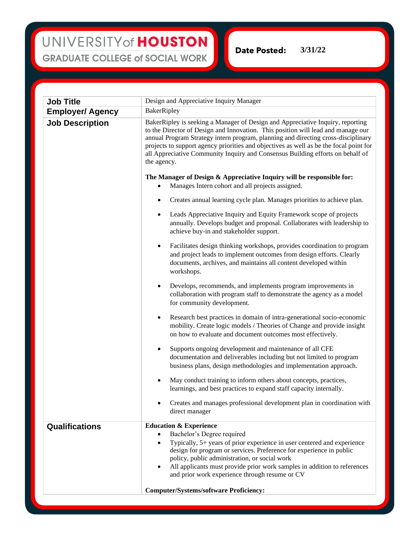## UNIVERSITY of HOUSTON **GRADUATE COLLEGE of SOCIAL WORK**

**Date Posted: 3/31/22**

| <b>Job Title</b>        | Design and Appreciative Inquiry Manager                                                                                                                                                                                                                                                                                                                                                                                                            |
|-------------------------|----------------------------------------------------------------------------------------------------------------------------------------------------------------------------------------------------------------------------------------------------------------------------------------------------------------------------------------------------------------------------------------------------------------------------------------------------|
| <b>Employer/ Agency</b> | BakerRipley                                                                                                                                                                                                                                                                                                                                                                                                                                        |
| <b>Job Description</b>  | BakerRipley is seeking a Manager of Design and Appreciative Inquiry, reporting<br>to the Director of Design and Innovation. This position will lead and manage our<br>annual Program Strategy intern program, planning and directing cross-disciplinary<br>projects to support agency priorities and objectives as well as be the focal point for<br>all Appreciative Community Inquiry and Consensus Building efforts on behalf of<br>the agency. |
|                         | The Manager of Design & Appreciative Inquiry will be responsible for:<br>Manages Intern cohort and all projects assigned.<br>$\bullet$                                                                                                                                                                                                                                                                                                             |
|                         | Creates annual learning cycle plan. Manages priorities to achieve plan.                                                                                                                                                                                                                                                                                                                                                                            |
|                         | Leads Appreciative Inquiry and Equity Framework scope of projects<br>$\bullet$<br>annually. Develops budget and proposal. Collaborates with leadership to<br>achieve buy-in and stakeholder support.                                                                                                                                                                                                                                               |
|                         | Facilitates design thinking workshops, provides coordination to program<br>$\bullet$<br>and project leads to implement outcomes from design efforts. Clearly<br>documents, archives, and maintains all content developed within<br>workshops.                                                                                                                                                                                                      |
|                         | Develops, recommends, and implements program improvements in<br>$\bullet$<br>collaboration with program staff to demonstrate the agency as a model<br>for community development.                                                                                                                                                                                                                                                                   |
|                         | Research best practices in domain of intra-generational socio-economic<br>$\bullet$<br>mobility. Create logic models / Theories of Change and provide insight<br>on how to evaluate and document outcomes most effectively.                                                                                                                                                                                                                        |
|                         | Supports ongoing development and maintenance of all CFE<br>$\bullet$<br>documentation and deliverables including but not limited to program<br>business plans, design methodologies and implementation approach.                                                                                                                                                                                                                                   |
|                         | May conduct training to inform others about concepts, practices,<br>$\bullet$<br>learnings, and best practices to expand staff capacity internally.                                                                                                                                                                                                                                                                                                |
|                         | Creates and manages professional development plan in coordination with<br>٠<br>direct manager                                                                                                                                                                                                                                                                                                                                                      |
| Qualifications          | <b>Education &amp; Experience</b><br>Bachelor's Degree required<br>$\bullet$                                                                                                                                                                                                                                                                                                                                                                       |
|                         | Typically, 5+ years of prior experience in user centered and experience<br>$\bullet$<br>design for program or services. Preference for experience in public<br>policy, public administration, or social work<br>All applicants must provide prior work samples in addition to references<br>and prior work experience through resume or CV                                                                                                         |
|                         | <b>Computer/Systems/software Proficiency:</b>                                                                                                                                                                                                                                                                                                                                                                                                      |